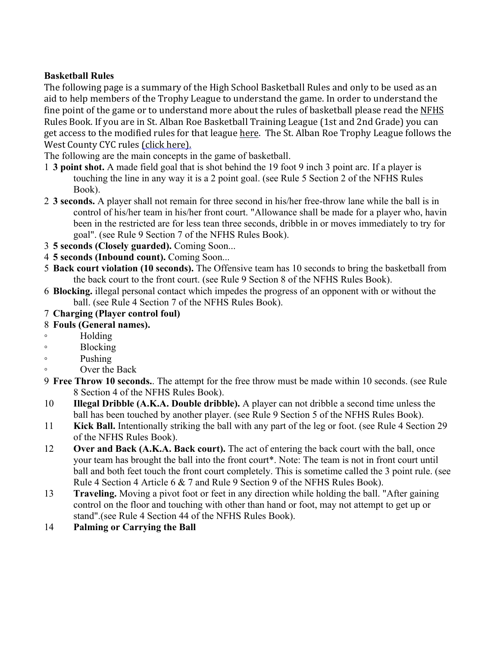## **Basketball Rules**

The following page is a summary of the High School Basketball Rules and only to be used as an aid to help members of the Trophy League to understand the game. In order to understand the fine point of the game or to understand more about the rules of basketball please read the NFHS Rules Book. If you are in St. Alban Roe Basketball Training League (1st and 2nd Grade) you can get access to the modified rules for that league here. The St. Alban Roe Trophy League follows the West County CYC rules (click here).

The following are the main concepts in the game of basketball.

- 1 **3 point shot.** A made field goal that is shot behind the 19 foot 9 inch 3 point arc. If a player is touching the line in any way it is a 2 point goal. (see Rule 5 Section 2 of the NFHS Rules Book).
- 2 **3 seconds.** A player shall not remain for three second in his/her free-throw lane while the ball is in control of his/her team in his/her front court. "Allowance shall be made for a player who, havin been in the restricted are for less tean three seconds, dribble in or moves immediately to try for goal". (see Rule 9 Section 7 of the NFHS Rules Book).
- 3 **5 seconds (Closely guarded).** Coming Soon...
- 4 **5 seconds (Inbound count).** Coming Soon...
- 5 **Back court violation (10 seconds).** The Offensive team has 10 seconds to bring the basketball from the back court to the front court. (see Rule 9 Section 8 of the NFHS Rules Book).
- 6 **Blocking.** illegal personal contact which impedes the progress of an opponent with or without the ball. (see Rule 4 Section 7 of the NFHS Rules Book).

## 7 **Charging (Player control foul)**

## 8 **Fouls (General names).**

- Holding
- Blocking
- Pushing
- Over the Back
- 9 **Free Throw 10 seconds.**. The attempt for the free throw must be made within 10 seconds. (see Rule 8 Section 4 of the NFHS Rules Book).
- 10 **Illegal Dribble (A.K.A. Double dribble).** A player can not dribble a second time unless the ball has been touched by another player. (see Rule 9 Section 5 of the NFHS Rules Book).
- 11 **Kick Ball.** Intentionally striking the ball with any part of the leg or foot. (see Rule 4 Section 29 of the NFHS Rules Book).
- 12 **Over and Back (A.K.A. Back court).** The act of entering the back court with the ball, once your team has brought the ball into the front court\*. Note: The team is not in front court until ball and both feet touch the front court completely. This is sometime called the 3 point rule. (see Rule 4 Section 4 Article 6 & 7 and Rule 9 Section 9 of the NFHS Rules Book).
- 13 **Traveling.** Moving a pivot foot or feet in any direction while holding the ball. "After gaining control on the floor and touching with other than hand or foot, may not attempt to get up or stand".(see Rule 4 Section 44 of the NFHS Rules Book).
- 14 **Palming or Carrying the Ball**